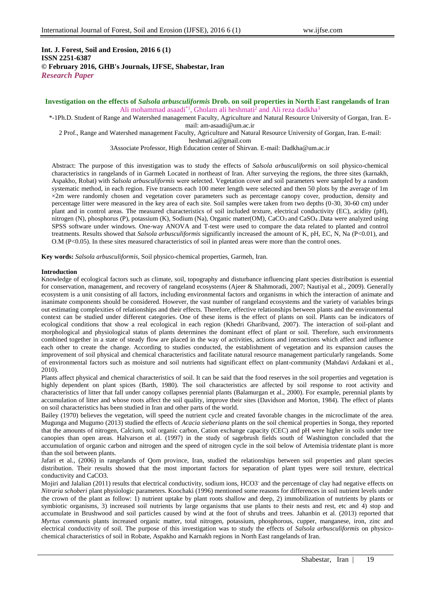# **Int. J. Forest, Soil and Erosion, 2016 6 (1) ISSN 2251-6387 © February 2016, GHB's Journals, IJFSE, Shabestar, Iran** *Research Paper*

# **Investigation on the effects of** *Salsola arbusculiformis* **Drob. on soil properties in North East rangelands of Iran** Ali mohammad asaadi<sup>\*1</sup>, Gholam ali heshmati<sup>2</sup> and Ali reza dadkha<sup>3</sup>

\*-1Ph.D. Student of Range and Watershed management Faculty, Agriculture and Natural Resource University of Gorgan, Iran. Email: am-asaadi@um.ac.ir

2 Prof., Range and Watershed management Faculty, Agriculture and Natural Resource University of Gorgan, Iran. E-mail:

[heshmati.a@gmail.com](mailto:heshmati.a@gmail.com)

3Associate Professor, High Education center of Shirvan. E-mai[l:](mailto:Dadkha@um.ac.ir) [Dadkha@um.ac.ir](mailto:Dadkha@um.ac.ir)

Abstract: The purpose of this investigation was to study the effects of *Salsola arbusculiformis* on soil physico-chemical characteristics in rangelands of in Garmeh Located in northeast of Iran. After surveying the regions, the three sites (karnakh, Aspakho, Robat) with *Salsola arbusculiformis* were selected. Vegetation cover and soil parameters were sampled by a random systematic method, in each region. Five transects each 100 meter length were selected and then 50 plots by the average of 1m ×2m were randomly chosen and vegetation cover parameters such as percentage canopy cover, production, density and percentage litter were measured in the key area of each site. Soil samples were taken from two depths (0-30, 30-60 cm) under plant and in control areas. The measured characteristics of soil included texture, electrical conductivity (EC), acidity (pH), nitrogen (N), phosphorus (P), potassium (K), Sodium (Na), Organic matter(OM), CaCO<sub>3</sub> and CaSO<sub>4</sub>. Data were analyzed using SPSS software under windows. One-way ANOVA and T-test were used to compare the data related to planted and control treatments. Results showed that *Salsola arbusculiformis* significantly increased the amount of K, pH, EC, N, Na (P<0.01), and O.M (P<0.05). In these sites measured characteristics of soil in planted areas were more than the control ones.

**Key words:** *Salsola arbusculiformis,* Soil physico-chemical properties, Garmeh, Iran.

## **Introduction**

Knowledge of ecological factors such as climate, soil, topography and disturbance influencing plant species distribution is essential for conservation, management, and recovery of rangeland ecosystems (Ajeer & Shahmoradi, 2007; Nautiyal et al., 2009). Generally ecosystem is a unit consisting of all factors, including environmental factors and organisms in which the interaction of animate and inanimate components should be considered. However, the vast number of rangeland ecosystems and the variety of variables brings out estimating complexities of relationships and their effects. Therefore, effective relationships between plants and the environmental context can be studied under different categories. One of these items is the effect of plants on soil. Plants can be indicators of ecological conditions that show a real ecological in each region (Khedri Gharibvand, 2007). The interaction of soil-plant and morphological and physiological status of plants determines the dominant effect of plant or soil. Therefore, such environments combined together in a state of steady flow are placed in the way of activities, actions and interactions which affect and influence each other to create the change. According to studies conducted, the establishment of vegetation and its expansion causes the improvement of soil physical and chemical characteristics and facilitate natural resource management particularly rangelands. Some of environmental factors such as moisture and soil nutrients had significant effect on plant-community (Mahdavi Ardakani et al., 2010).

Plants affect physical and chemical characteristics of soil. It can be said that the food reserves in the soil properties and vegetation is highly dependent on plant spices (Barth, 1980). The soil characteristics are affected by soil response to root activity and characteristics of litter that fall under canopy collapses perennial plants (Balamurgan et al., 2000). For example, perennial plants by accumulation of litter and whose roots affect the soil quality, improve their sites (Davidson and Morton, 1984). The effect of plants on soil characteristics has been studied in Iran and other parts of the world.

Bailey (1970) believes the vegetation, will speed the nutrient cycle and created favorable changes in the microclimate of the area. Mugunga and Mugumo (2013) studied the effects of *Acacia sieberiana* plants on the soil chemical properties in Songa, they reported that the amounts of nitrogen, Calcium, soil organic carbon, Cation exchange capacity (CEC) and pH were higher in soils under tree canopies than open areas. Halvarson et al. (1997) in the study of sagebrush fields south of Washington concluded that the accumulation of organic carbon and nitrogen and the speed of nitrogen cycle in the soil below of Artemisia tridentate plant is more than the soil between plants.

Jafari et al., (2006) in rangelands of Qom province, Iran, studied the relationships between soil properties and plant species distribution. Their results showed that the most important factors for separation of plant types were soil texture, electrical conductivity and CaCO3.

Mojiri and Jalalian (2011) results that electrical conductivity, sodium ions, HCO3<sup>-</sup> and the percentage of clay had negative effects on *Nitraria schoberi* plant physiologic parameters. Koochaki (1996) mentioned some reasons for differences in soil nutrient levels under the crown of the plant as follow: 1) nutrient uptake by plant roots shallow and deep, 2) immobilization of nutrients by plants or symbiotic organisms, 3) increased soil nutrients by large organisms that use plants to their nests and rest, etc and 4) stop and accumulate in Brushwood and soil particles caused by wind at the foot of shrubs and trees. Jahanbin et al. (2013) reported that *Myrtus communis* plants increased organic matter, total nitrogen, potassium, phosphorous, cupper, manganese, iron, zinc and electrical conductivity of soil. The purpose of this investigation was to study the effects of *Salsola arbusculiformis* on physicochemical characteristics of soil in Robate, Aspakho and Karnakh regions in North East rangelands of Iran.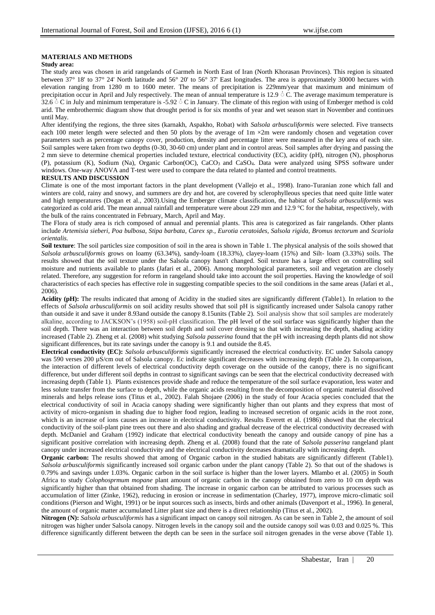## **MATERIALS AND METHODS**

#### **Study area:**

The study area was chosen in arid rangelands of Garmeh in North East of Iran (North Khorasan Provinces). This region is situated between 37° 18' to 37° 24' North latitude and 56° 20' to 56° 37' East longitudes. The area is approximately 30000 hectares with elevation ranging from 1280 m to 1600 meter. The means of precipitation is 229mm/year that maximum and minimum of precipitation occur in April and July respectively. The mean of annual temperature is 12.9  $\circ$  C. The average maximum temperature is 32.6  $\circ$  C in July and minimum temperature is -5.92  $\circ$  C in January. The climate of this region with using of Emberger method is cold arid. The embrothermic diagram show that drought period is for six months of year and wet season start in November and continues until May.

After identifying the regions, the three sites (karnakh, Aspakho, Robat) with *Salsola arbusculiformis* were selected. Five transects each 100 meter length were selected and then 50 plots by the average of 1m  $\times$ 2m were randomly chosen and vegetation cover parameters such as percentage canopy cover, production, density and percentage litter were measured in the key area of each site. Soil samples were taken from two depths (0-30, 30-60 cm) under plant and in control areas. Soil samples after drying and passing the 2 mm sieve to determine chemical properties included texture, electrical conductivity (EC), acidity (pH), nitrogen (N), phosphorus (P), potassium (K), Sodium (Na), Organic Carbon(OC), CaCO3 and CaSO4. Data were analyzed using SPSS software under windows. One-way ANOVA and T-test were used to compare the data related to planted and control treatments.

### **RESULTS AND DISCUSSION**

Climate is one of the most important factors in the plant development (Vallejo et al., 1998). Irano-Turanian zone which fall and winters are cold, rainy and snowy, and summers are dry and hot, are covered by sclerophylleous species that need quite little water and high temperatures (Dogan et al., 2003).Using the Emberger climate classification, the habitat of *Salsola arbusculiformis* was categorized as cold arid. The mean annual rainfall and temperature were about 229 mm and 12.9 °C for the habitat, respectively, with the bulk of the rains concentrated in February, March, April and May.

The Flora of study area is rich composed of annual and perennial plants. This area is categorized as fair rangelands. Other plants include *Artemisia sieberi, Poa bulbosa, Stipa barbata, Carex sp., Eurotia ceratoides, Salsola rigida, Bromus tectorum* and *Scariola orientalis.*

**Soil texture**: The soil particles size composition of soil in the area is shown in Table 1. The physical analysis of the soils showed that *Salsola arbusculiformis* grows on loamy (63.34%), sandy-loam (18.33%), clayey-loam (15%) and Silt- loam (3.33%) soils. The results showed that the soil texture under the Salsola canopy hasn't changed. Soil texture has a large effect on controlling soil moisture and nutrients available to plants (Jafari et al., 2006). Among morphological parameters, soil and vegetation are closely related. Therefore, any suggestion for reform in rangeland should take into account the soil properties. Having the knowledge of soil characteristics of each species has effective role in suggesting compatible species to the soil conditions in the same areas (Jafari et al., 2006).

**Acidity (pH):** The results indicated that among of Acidity in the studied sites are significantly different (Table1). In relation to the effects of *Salsola arbusculiformis* on soil acidity results showed that soil pH is significantly increased under Salsola canopy rather than outside it and save it under 8.93and outside the canopy 8.15units (Table 2). Soil analysis show that soil samples are moderately alkaline, according to JACKSON's (1958) soil-pH classification. The pH level of the soil surface was significantly higher than the soil depth. There was an interaction between soil depth and soil cover dressing so that with increasing the depth, shading acidity increased (Table 2). Zheng et al. (2008) whit studying *Salsola passerina* found that the pH with increasing depth plants did not show significant differences, but its rate savings under the canopy is 9.1 and outside the 8.45.

**Electrical conductivity (EC):** *Salsola arbusculiformis* significantly increased the electrical conductivity. EC under Salsola canopy was 590 verses 200 µS/cm out of Salsola canopy. Ec indicate significant decreases with increasing depth (Table 2). In comparison, the interaction of different levels of electrical conductivity depth coverage on the outside of the canopy, there is no significant difference, but under different soil depths in contrast to significant savings can be seen that the electrical conductivity decreased with increasing depth (Table 1). Plants existences provide shade and reduce the temperature of the soil surface evaporation, less water and less solute transfer from the surface to depth, while the organic acids resulting from the decomposition of organic material dissolved minerals and helps release ions (Titus et al., 2002). Falah Shojaee (2006) in the study of four Acacia species concluded that the electrical conductivity of soil in Acacia canopy shading were significantly higher than out plants and they express that most of activity of micro-organism in shading due to higher food region, leading to increased secretion of organic acids in the root zone, which is an increase of ions causes an increase in electrical conductivity. Results Everett et al. (1986) showed that the electrical conductivity of the soil-plant pine trees out there and also shading and gradual decrease of the electrical conductivity decreased with depth. McDaniel and Graham (1992) indicate that electrical conductivity beneath the canopy and outside canopy of pine has a significant positive correlation with increasing depth. Zheng et al. (2008) found that the rate of *Salsola passerina* rangeland plant canopy under increased electrical conductivity and the electrical conductivity decreases dramatically with increasing depth.

**Organic carbon:** The results showed that among of Organic carbon in the studied habitats are significantly different (Table1). *Salsola arbusculiformis* significantly increased soil organic carbon under the plant canopy (Table 2). So that out of the shadows is 0.79% and savings under 1.03%. Organic carbon in the soil surface is higher than the lower layers. Mlambo et al. (2005) in South Africa to study *Colophosprmum mopane* plant amount of organic carbon in the canopy obtained from zero to 10 cm depth was significantly higher than that obtained from shading. The increase in organic carbon can be attributed to various processes such as accumulation of litter (Zinke, 1962), reducing in erosion or increase in sedimentation (Charley, 1977), improve micro-climatic soil conditions (Pierson and Wight, 1991) or be input sources such as insects, birds and other animals (Davenport et al., 1996). In general, the amount of organic matter accumulated Litter plant size and there is a direct relationship (Titus et al., 2002).

**Nitrogen (N):** *Salsola arbusculiformis* has a significant impact on canopy soil nitrogen. As can be seen in Table 2, the amount of soil nitrogen was higher under Salsola canopy. Nitrogen levels in the canopy soil and the outside canopy soil was 0.03 and 0.025 %. This difference significantly different between the depth can be seen in the surface soil nitrogen grenades in the verse above (Table 1).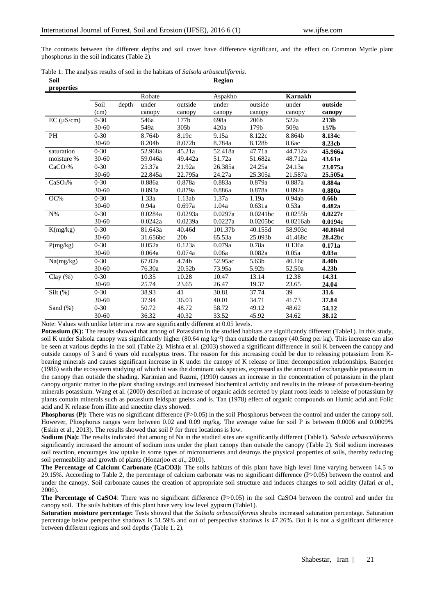The contrasts between the different depths and soil cover have difference significant, and the effect on Common Myrtle plant phosphorus in the soil indicates (Table 2).

|  |  |  |  | Table 1: The analysis results of soil in the habitats of Salsola arbusculiformis. |
|--|--|--|--|-----------------------------------------------------------------------------------|
|  |  |  |  |                                                                                   |

| Soil                |           |       |          |                 | <b>Region</b> |                  |                     |                   |
|---------------------|-----------|-------|----------|-----------------|---------------|------------------|---------------------|-------------------|
| properties          |           |       |          |                 |               |                  |                     |                   |
|                     |           |       | Robate   |                 | Aspakho       |                  | <b>Karnakh</b>      |                   |
|                     | Soil      | depth | under    | outside         | under         | outside          | under               | outside           |
|                     | (cm)      |       | canopy   | canopy          | canopy        | canopy           | canopy              | canopy            |
| $EC (\mu S/cm)$     | $0 - 30$  |       | 546a     | 177b            | 698a          | 206 <sub>b</sub> | 522a                | 213 <sub>b</sub>  |
|                     | $30 - 60$ |       | 549a     | 305b            | 420a          | 179b             | 509a                | 157b              |
| PH                  | $0 - 30$  |       | 8.764b   | 8.19c           | 9.15a         | 8.122c           | 8.864b              | 8.134c            |
|                     | $30 - 60$ |       | 8.204b   | 8.072b          | 8.784a        | 8.128b           | 8.6ac               | 8.23cb            |
| saturation          | $0 - 30$  |       | 52.968a  | 45.21a          | 52.418a       | 47.71a           | 44.712a             | 45.966a           |
| moisture %          | $30 - 60$ |       | 59.046a  | 49.442a         | 51.72a        | 51.682a          | 48.712a             | 43.61a            |
| CaCO <sub>3</sub> % | $0 - 30$  |       | 25.37a   | 21.92a          | 26.385a       | 24.25a           | 24.13a              | 23.075a           |
|                     | $30 - 60$ |       | 22.845a  | 22.795a         | 24.27a        | 25.305a          | 21.587a             | 25.505a           |
| CaSO <sub>4</sub> % | $0 - 30$  |       | 0.886a   | 0.878a          | 0.883a        | 0.879a           | 0.887a              | 0.884a            |
|                     | $30 - 60$ |       | 0.893a   | 0.879a          | 0.886a        | 0.878a           | 0.892a              | 0.880a            |
| OC%                 | $0 - 30$  |       | 1.33a    | 1.13ab          | 1.37a         | 1.19a            | 0.94ab              | 0.66 <sub>b</sub> |
|                     | $30 - 60$ |       | 0.94a    | 0.697a          | 1.04a         | 0.631a           | 0.53a               | 0.482a            |
| $N\%$               | $0 - 30$  |       | 0.0284a  | 0.0293a         | 0.0297a       | 0.0241bc         | 0.0255 <sub>b</sub> | 0.0227c           |
|                     | $30 - 60$ |       | 0.0242a  | 0.0239a         | 0.0227a       | 0.0205bc         | 0.0216ab            | 0.0194c           |
| K(mg/kg)            | $0 - 30$  |       | 81.643a  | 40.46d          | 101.37b       | 40.155d          | 58.903c             | 40.884d           |
|                     | $30 - 60$ |       | 31.656bc | 20 <sub>b</sub> | 65.53a        | 25.093b          | 41.468c             | 28.42bc           |
| P(mg/kg)            | $0 - 30$  |       | 0.052a   | 0.123a          | 0.079a        | 0.78a            | 0.136a              | 0.171a            |
|                     | $30 - 60$ |       | 0.064a   | 0.074a          | 0.06a         | 0.082a           | 0.05a               | 0.03a             |
| Na(mg/kg)           | $0 - 30$  |       | 67.02a   | 4.74b           | 52.95ac       | 5.63b            | 40.16c              | 8.40b             |
|                     | $30 - 60$ |       | 76.30a   | 20.52b          | 73.95a        | 5.92b            | 52.50a              | 4.23 <sub>b</sub> |
| Clay $(\% )$        | $0 - 30$  |       | 10.35    | 10.28           | 10.47         | 13.14            | 12.38               | 14.31             |
|                     | $30 - 60$ |       | 25.74    | 23.65           | 26.47         | 19.37            | 23.65               | 24.04             |
| $Silt(\%)$          | $0 - 30$  |       | 38.93    | 41              | 30.81         | 37.74            | 39                  | 31.6              |
|                     | $30 - 60$ |       | 37.94    | 36.03           | 40.01         | 34.71            | 41.73               | 37.84             |
| Sand $(\%)$         | $0 - 30$  |       | 50.72    | 48.72           | 58.72         | 49.12            | 48.62               | 54.12             |
|                     | $30 - 60$ |       | 36.32    | 40.32           | 33.52         | 45.92            | 34.62               | 38.12             |

Note: Values with unlike letter in a row are significantly different at 0.05 levels.

**Potassium (K):** The results showed that among of Potassium in the studied habitats are significantly different (Table1). In this study, soil K under Salsola canopy was significantly higher (80.64 mg kg<sup>-1</sup>) than outside the canopy (40.5mg per kg). This increase can also be seen at various depths in the soil (Table 2). Mishra et al. (2003) showed a significant difference in soil K between the canopy and outside canopy of 3 and 6 years old eucalyptus trees. The reason for this increasing could be due to releasing potassium from Kbearing minerals and causes significant increase in K under the canopy of K release or litter decomposition relationships. Banerjee (1986) with the ecosystem studying of which it was the dominant oak species, expressed as the amount of exchangeable potassium in the canopy than outside the shading. Karimian and Razmi, (1990) causes an increase in the concentration of potassium in the plant canopy organic matter in the plant shading savings and increased biochemical activity and results in the release of potassium-bearing minerals potassium. Wang et al. (2000) described an increase of organic acids secreted by plant roots leads to release of potassium by plants contain minerals such as potassium feldspar gneiss and is. Tan (1978) effect of organic compounds on Humic acid and Folic acid and K release from illite and smectite clays showed.

**Phosphorus (P):** There was no significant difference (P>0.05) in the soil Phosphorus between the control and under the canopy soil. However, Phosphorus ranges were between 0.02 and 0.09 mg/kg. The average value for soil P is between 0.0006 and 0.0009% (Eskin et al., 2013). The results showed that soil P for three locations is low.

**Sodium (Na):** The results indicated that among of Na in the studied sites are significantly different (Table1). *Salsola arbusculiformis* significantly increased the amount of sodium ions under the plant canopy than outside the canopy (Table 2). Soil sodium increases soil reaction, encourages low uptake in some types of micronutrients and destroys the physical properties of soils, thereby reducing soil permeability and growth of plants (Honarjoo *et al*., 2010).

**The Percentage of Calcium Carbonate (CaCO3):** The soils habitats of this plant have high level lime varying between 14.5 to 29.15%. According to Table 2, the percentage of calcium carbonate was no significant difference (P>0.05) between the control and under the canopy. Soil carbonate causes the creation of appropriate soil structure and induces changes to soil acidity (Jafari *et al*., 2006).

**The Percentage of CaSO4**: There was no significant difference (P>0.05) in the soil CaSO4 between the control and under the canopy soil. The soils habitats of this plant have very low level gypsum (Table1).

**Saturation moisture percentage:** Tests showed that the *Salsola arbusculiformis* shrubs increased saturation percentage. Saturation percentage below perspective shadows is 51.59% and out of perspective shadows is 47.26%. But it is not a significant difference between different regions and soil depths (Table 1, 2).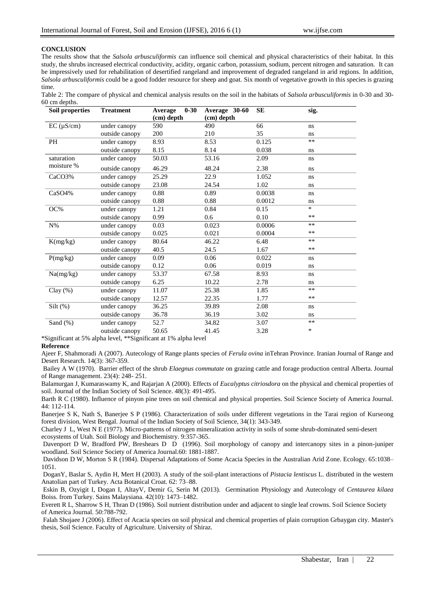#### **CONCLUSION**

The results show that the *Salsola arbusculiformis* can influence soil chemical and physical characteristics of their habitat. In this study, the shrubs increased electrical conductivity, acidity, organic carbon, potassium, sodium, percent nitrogen and saturation. It can be impressively used for rehabilitation of desertified rangeland and improvement of degraded rangeland in arid regions. In addition, *Salsola arbusculiformis* could be a good fodder resource for sheep and goat. Six month of vegetative growth in this species is grazing time.

|               |  |  |  |  | Table 2: The compare of physical and chemical analysis results on the soil in the habitats of Salsola arbusculiformis in 0-30 and 30- |  |  |
|---------------|--|--|--|--|---------------------------------------------------------------------------------------------------------------------------------------|--|--|
| 60 cm depths. |  |  |  |  |                                                                                                                                       |  |  |

| Soil properties    | <b>Treatment</b> | $0 - 30$<br>Average | Average 30-60 | <b>SE</b> | sig.   |
|--------------------|------------------|---------------------|---------------|-----------|--------|
|                    |                  | (cm) depth          | (cm) depth    |           |        |
| $EC (\mu S/cm)$    | under canopy     | 590                 | 490           | 66        | ns     |
|                    | outside canopy   | 200                 | 210           | 35        | ns     |
| <b>PH</b>          | under canopy     | 8.93                | 8.53          | 0.125     | $**$   |
|                    | outside canopy   | 8.15                | 8.14          | 0.038     | ns     |
| saturation         | under canopy     | 50.03               | 53.16         | 2.09      | ns     |
| moisture %         | outside canopy   | 46.29               | 48.24         | 2.38      | ns     |
| CaCO3%             | under canopy     | 25.29               | 22.9          | 1.052     | ns     |
|                    | outside canopy   | 23.08               | 24.54         | 1.02      | ns     |
| CaSO <sub>4%</sub> | under canopy     | 0.88                | 0.89          | 0.0038    | ns     |
|                    | outside canopy   | 0.88                | 0.88          | 0.0012    | ns     |
| OC%                | under canopy     | 1.21                | 0.84          | 0.15      | $\ast$ |
|                    | outside canopy   | 0.99                | 0.6           | 0.10      | **     |
| $N\%$              | under canopy     | 0.03                | 0.023         | 0.0006    | $**$   |
|                    | outside canopy   | 0.025               | 0.021         | 0.0004    | **     |
| K(mg/kg)           | under canopy     | 80.64               | 46.22         | 6.48      | $**$   |
|                    | outside canopy   | 40.5                | 24.5          | 1.67      | $***$  |
| P(mg/kg)           | under canopy     | 0.09                | 0.06          | 0.022     | ns     |
|                    | outside canopy   | 0.12                | 0.06          | 0.019     | ns     |
| Na(mg/kg)          | under canopy     | 53.37               | 67.58         | 8.93      | ns     |
|                    | outside canopy   | 6.25                | 10.22         | 2.78      | ns     |
| Clay(%)            | under canopy     | 11.07               | 25.38         | 1.85      | $**$   |
|                    | outside canopy   | 12.57               | 22.35         | 1.77      | $***$  |
| $Silt$ (%)         | under canopy     | 36.25               | 39.89         | 2.08      | ns     |
|                    | outside canopy   | 36.78               | 36.19         | 3.02      | ns     |
| Sand $(\%)$        | under canopy     | 52.7                | 34.82         | 3.07      | $***$  |
|                    | outside canopy   | 50.65               | 41.45         | 3.28      | $\ast$ |

\*Significant at 5% alpha level, \*\*Significant at 1% alpha level

#### **Reference**

Ajeer F, Shahmoradi A (2007). Autecology of Range plants species of *Ferula ovina* inTehran Province. Iranian Journal of Range and Desert Research. 14(3): 367-359.

Bailey A W (1970). Barrier effect of the shrub *Elaegnus commutate* on grazing cattle and forage production central Alberta. Journal of Range management. 23(4): 248- 251.

Balamurgan J, Kumaraswamy K, and Rajarjan A (2000). Effects of *Eucalyptus citriosdora* on the physical and chemical properties of soil. Journal of the Indian Society of Soil Science. 48(3): 491-495.

Barth R C (1980). Influence of pinyon pine trees on soil chemical and physical properties. Soil Science Society of America Journal.  $44 \cdot 112 - 114$ 

Banerjee S K, Nath S, Banerjee S P (1986). Characterization of soils under different vegetations in the Tarai region of Kurseong forest division, West Bengal. Journal of the Indian Society of Soil Science, 34(1): 343-349.

Charley J L, West N E (1977). Micro-patterns of nitrogen mineralization activity in soils of some shrub-dominated semi-desert ecosystems of Utah. Soil Biology and Biochemistry. 9:357-365.

Davenport D W, Bradford PW, Breshears D D (1996). Soil morphology of canopy and intercanopy sites in a pinon-juniper woodland. Soil Science Society of America Journal.60: 1881-1887.

Davidson D W, Morton S R (1984). Dispersal Adaptations of Some Acacia Species in the Australian Arid Zone. Ecology. 65:1038– 1051.

DoganY, Baslar S, Aydin H, Mert H (2003). A study of the soil-plant interactions of *Pistacia lentiscus* L. distributed in the western Anatolian part of Turkey. Acta Botanical Croat. 62: 73–88.

Eskin B, Ozyigit I, Dogan I, AltayV, Demir G, Serin M (2013). Germination Physiology and Autecology of *Centaurea kilaea* Boiss. from Turkey. Sains Malaysiana. 42(10): 1473–1482.

Everett R L, Sharrow S H, Thran D (1986). Soil nutrient distribution under and adjacent to single leaf crowns. Soil Science Society of America Journal. 50:788-792.

Falah Shojaee J (2006). Effect of Acacia species on soil physical and chemical properties of plain corruption Grbaygan city. Master's thesis, Soil Science. Faculty of Agriculture. University of Shiraz.